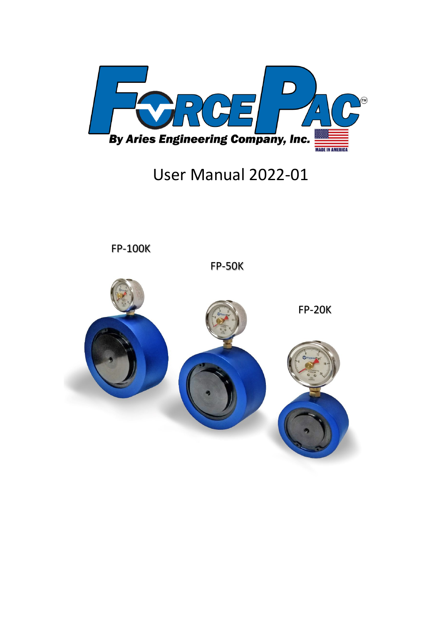

# User Manual 2022-01



FP-100K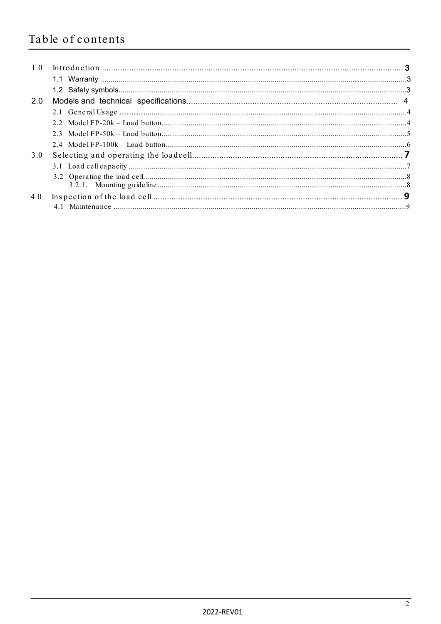# Table of contents

| 1.0 |  |
|-----|--|
|     |  |
|     |  |
| 2.0 |  |
|     |  |
|     |  |
|     |  |
|     |  |
| 3.0 |  |
|     |  |
|     |  |
|     |  |
| 4.0 |  |
|     |  |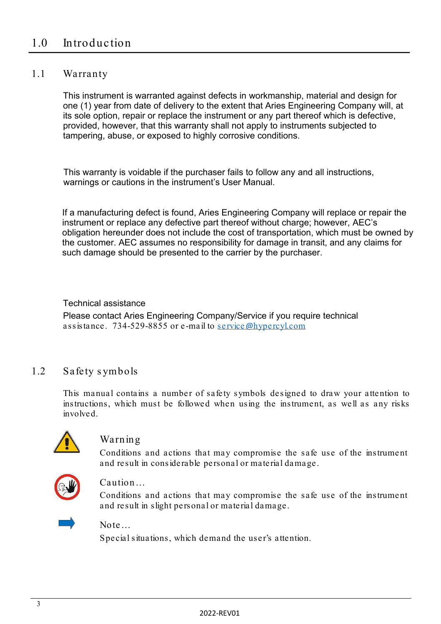#### 1.1 Warranty

This instrument is warranted against defects in workmanship, material and design for one (1) year from date of delivery to the extent that Aries Engineering Company will, at its sole option, repair or replace the instrument or any part thereof which is defective, provided, however, that this warranty shall not apply to instruments subjected to tampering, abuse, or exposed to highly corrosive conditions.

This warranty is voidable if the purchaser fails to follow any and all instructions, warnings or cautions in the instrument's User Manual.

If a manufacturing defect is found, Aries Engineering Company will replace or repair the instrument or replace any defective part thereof without charge; however, AEC's obligation hereunder does not include the cost of transportation, which must be owned by the customer. AEC assumes no responsibility for damage in transit, and any claims for such damage should be presented to the carrier by the purchaser.

#### Technical assistance

Please contact Aries Engineering Company/Service if you require technical assistance. 734-529-8855 or e-mail to service@[hypercyl.com](mailto:service@hypercyl.com)

## 1.2 Safety s ymbols

This manual contains a number of safety symbols designed to draw your attention to instructions, which must be followed when using the instrument, as well as any risks involved.



#### Warning

Conditions and actions that may compromise the safe use of the instrument and result in considerable personal or material damage.



#### Caution…

Conditions and actions that may compromise the safe use of the instrument and result in slight personal or material damage.

#### Note…

Special situations, which demand the user's attention.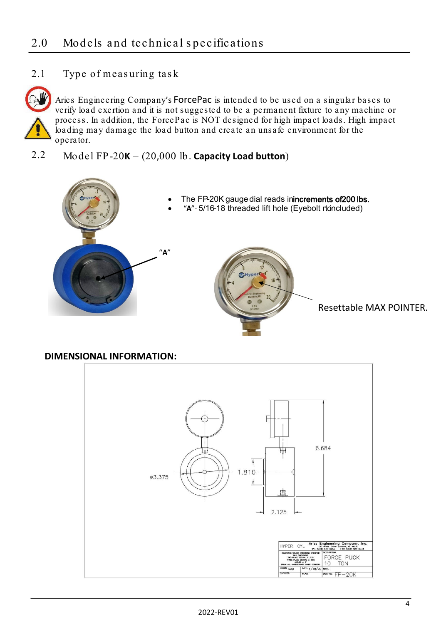## 2.1 Type of meas uring tas k



Aries Engineering Company's ForcePac is intended to be used on a singular bases to verify load exertion and it is not suggested to be a permanent fixture to any machine or process. In addition, the ForcePac is NOT designed for high impact loads. High impact loading may damage the load button and create an unsafe environment for the operator.

## 2.2 Model FP-20**K** – (20,000 lb. **Capacity Load button**)



### **DIMENSIONAL INFORMATION:**

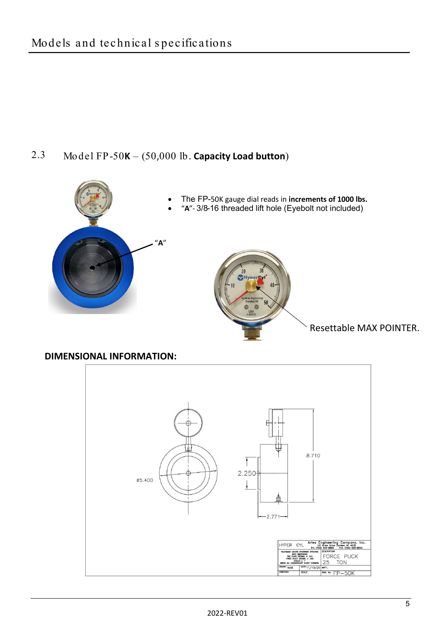## 2.3 Model FP-50**K** – (50,000 lb. **Capacity Load button**)



**DIMENSIONAL INFORMATION:**

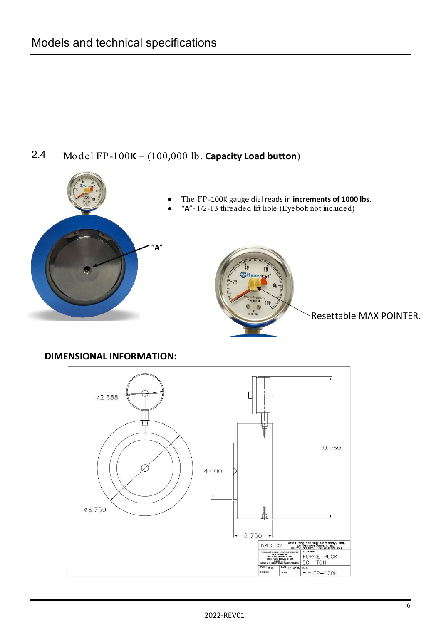# 2.4 Model FP-100**K** – (100,000 lb. **Capacity Load button**)



## **DIMENSIONAL INFORMATION:**

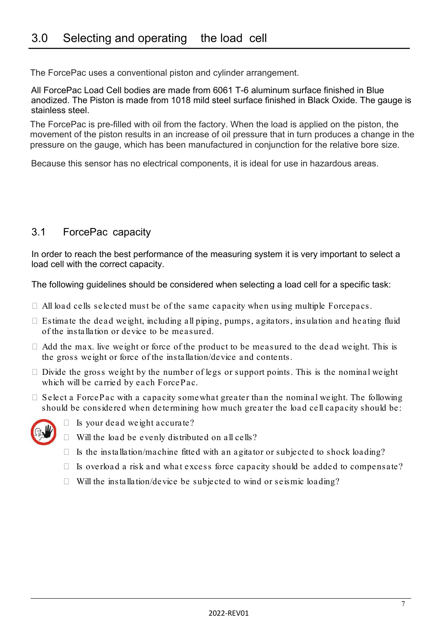The ForcePac uses a conventional piston and cylinder arrangement.

All ForcePac Load Cell bodies are made from 6061 T-6 aluminum surface finished in Blue anodized. The Piston is made from 1018 mild steel surface finished in Black Oxide. The gauge is stainless steel.

The ForcePac is pre-filled with oil from the factory. When the load is applied on the piston, the movement of the piston results in an increase of oil pressure that in turn produces a change in the pressure on the gauge, which has been manufactured in conjunction for the relative bore size.

Because this sensor has no electrical components, it is ideal for use in hazardous areas.

## 3.1 ForcePac capacity

In order to reach the best performance of the measuring system it is very important to select a load cell with the correct capacity.

The following guidelines should be considered when selecting a load cell for a specific task:

- $\Box$  All load cells selected must be of the same capacity when using multiple Forcepacs.
- $\Box$  Estimate the dead weight, including all piping, pumps, agitators, insulation and heating fluid of the installation or device to be measured.
- $\Box$  Add the max. live weight or force of the product to be measured to the dead weight. This is the gross weight or force of the installation/device and contents.
- $\Box$  Divide the gross weight by the number of legs or support points. This is the nominal weight which will be carried by each ForcePac.
- $\Box$  Select a ForcePac with a capacity somewhat greater than the nominal weight. The following should be considered when determining how much greater the load cell capacity should be:



- $\Box$  Is your dead weight accurate?
- $\Box$  Will the load be evenly distributed on all cells?
- $\Box$  Is the installation/machine fitted with an agitator or subjected to shock loading?
- $\Box$  Is overload a risk and what excess force capacity should be added to compensate?
- $\Box$  Will the installation/device be subjected to wind or seismic loading?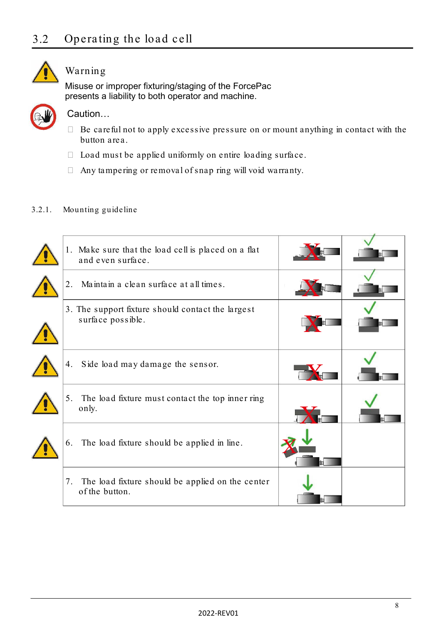

# Warning

Misuse or improper fixturing/staging of the ForcePac presents a liability to both operator and machine.



## Caution…

- $\Box$  Be careful not to apply excessive pressure on or mount anything in contact with the button area.
- $\Box$  Load must be applied uniformly on entire loading surface.
- Any tampering or removal of snap ring will void warranty.

### 3.2.1. Mounting guideline

| 1. Make sure that the load cell is placed on a flat<br>and even surface. |  |
|--------------------------------------------------------------------------|--|
| Maintain a clean surface at all times.<br>2.                             |  |
| 3. The support fixture should contact the largest<br>surface possible.   |  |
| Side load may damage the sensor.<br>4.                                   |  |
| 5.<br>The load fixture must contact the top inner ring<br>only.          |  |
| The load fixture should be applied in line.<br>6.                        |  |
| The load fixture should be applied on the center<br>7.<br>of the button. |  |